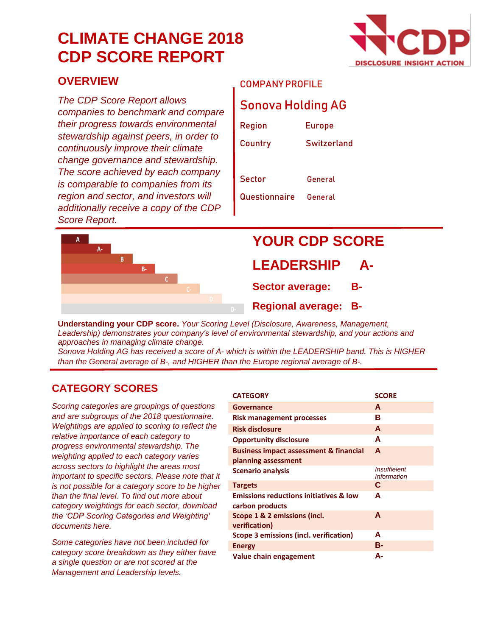# **CLIMATE CHANGE 2018 CDP SCORE REPORT**



#### **OVERVIEW**

*The CDP Score Report allows companies to benchmark and compare their progress towards environmental stewardship against peers, in order to continuously improve their climate change governance and stewardship. The score achieved by each company is comparable to companies from its region and sector, and investors will additionally receive a copy of the CDP Score Report.*

#### COMPANY PROFILE

### Sonova Holding AG

| Region        | <b>Europe</b> |
|---------------|---------------|
| Country       | Switzerland   |
|               |               |
| Sector        | General       |
| Questionnaire | General       |



# **YOUR CDP SCORE**

#### **LEADERSHIP**

**Sector average: B-**

**Regional average: B-**

**Understanding your CDP score.** *Your Scoring Level (Disclosure, Awareness, Management, Leadership) demonstrates your company's level of environmental stewardship, and your actions and approaches in managing climate change.*

*Sonova Holding AG has received a score of A- which is within the LEADERSHIP band. This is HIGHER than the General average of B-, and HIGHER than the Europe regional average of B-.*

#### **CATEGORY SCORES**

*Scoring categories are groupings of questions and are subgroups of the 2018 questionnaire. Weightings are applied to scoring to reflect the relative importance of each category to progress environmental stewardship. The weighting applied to each category varies across sectors to highlight the areas most important to specific sectors. Please note that it is not possible for a category score to be higher than the final level. To find out more about category weightings for each sector, download the 'CDP Scoring Categories and Weighting' documents here.*

*Some categories have not been included for category score breakdown as they either have a single question or are not scored at the Management and Leadership levels.*

| <b>CATEGORY</b>                                                          | <b>SCORE</b>                                     |
|--------------------------------------------------------------------------|--------------------------------------------------|
| Governance                                                               | A                                                |
| Risk management processes                                                | в                                                |
| <b>Risk disclosure</b>                                                   | A                                                |
| <b>Opportunity disclosure</b>                                            | A                                                |
| <b>Business impact assessment &amp; financial</b><br>planning assessment | A                                                |
| <b>Scenario analysis</b>                                                 | <i><b>Insuffieient</b></i><br><b>Information</b> |
| <b>Targets</b>                                                           | C                                                |
| <b>Emissions reductions initiatives &amp; low</b><br>carbon products     | A                                                |
| Scope 1 & 2 emissions (incl.<br>verification)                            | A                                                |
| Scope 3 emissions (incl. verification)                                   | A                                                |
| <b>Energy</b>                                                            | в-                                               |
| Value chain engagement                                                   | А-                                               |